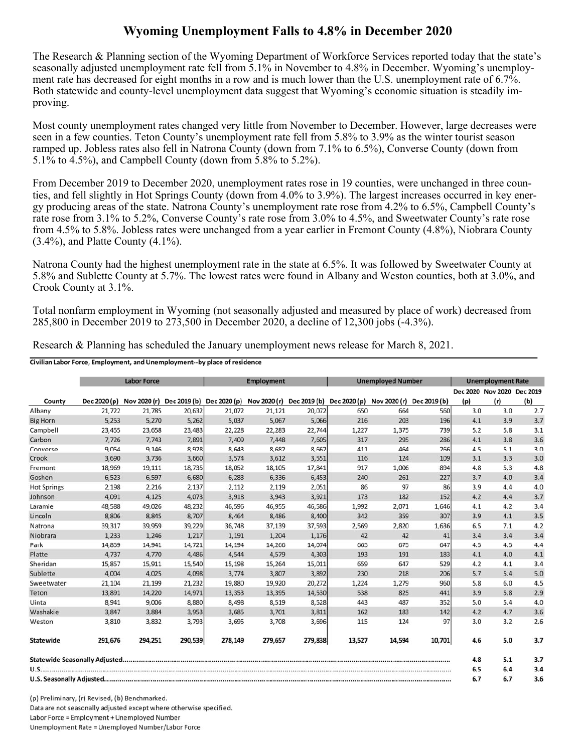## **Wyoming Unemployment Falls to 4.8% in December 2020**

The Research & Planning section of the Wyoming Department of Workforce Services reported today that the state's seasonally adjusted unemployment rate fell from 5.1% in November to 4.8% in December. Wyoming's unemployment rate has decreased for eight months in a row and is much lower than the U.S. unemployment rate of 6.7%. Both statewide and county-level unemployment data suggest that Wyoming's economic situation is steadily improving.

Most county unemployment rates changed very little from November to December. However, large decreases were seen in a few counties. Teton County's unemployment rate fell from 5.8% to 3.9% as the winter tourist season ramped up. Jobless rates also fell in Natrona County (down from 7.1% to 6.5%), Converse County (down from 5.1% to 4.5%), and Campbell County (down from 5.8% to 5.2%).

From December 2019 to December 2020, unemployment rates rose in 19 counties, were unchanged in three counties, and fell slightly in Hot Springs County (down from 4.0% to 3.9%). The largest increases occurred in key energy producing areas of the state. Natrona County's unemployment rate rose from 4.2% to 6.5%, Campbell County's rate rose from 3.1% to 5.2%, Converse County's rate rose from 3.0% to 4.5%, and Sweetwater County's rate rose from 4.5% to 5.8%. Jobless rates were unchanged from a year earlier in Fremont County (4.8%), Niobrara County (3.4%), and Platte County (4.1%).

Natrona County had the highest unemployment rate in the state at 6.5%. It was followed by Sweetwater County at 5.8% and Sublette County at 5.7%. The lowest rates were found in Albany and Weston counties, both at 3.0%, and Crook County at 3.1%.

Total nonfarm employment in Wyoming (not seasonally adjusted and measured by place of work) decreased from 285,800 in December 2019 to 273,500 in December 2020, a decline of 12,300 jobs (-4.3%).

Civilian Labor Force, Employment, and Unemployment--by place of residence

Research & Planning has scheduled the January unemployment news release for March 8, 2021.

|                    | <b>Labor Force</b> |         |         | <b>Employment</b>                                                                                       |         |         | <b>Unemployed Number</b> |        |        | <b>Unemployment Rate</b> |                            |     |
|--------------------|--------------------|---------|---------|---------------------------------------------------------------------------------------------------------|---------|---------|--------------------------|--------|--------|--------------------------|----------------------------|-----|
|                    |                    |         |         |                                                                                                         |         |         |                          |        |        |                          | Dec 2020 Nov 2020 Dec 2019 |     |
| County             | Dec 2020 (p)       |         |         | Nov 2020 (r) Dec 2019 (b) Dec 2020 (p) Nov 2020 (r) Dec 2019 (b) Dec 2020 (p) Nov 2020 (r) Dec 2019 (b) |         |         |                          |        |        | (p)                      | (r)                        | (b) |
| Albany             | 21,722             | 21,785  | 20,632  | 21,072                                                                                                  | 21,121  | 20,072  | 650                      | 664    | 560    | 3.0                      | 3.0                        | 2.7 |
| <b>Big Horn</b>    | 5,253              | 5,270   | 5,262   | 5,037                                                                                                   | 5,067   | 5,066   | 216                      | 203    | 196    | 4.1                      | 3.9                        | 3.7 |
| Campbell           | 23,455             | 23,658  | 23,483  | 22,228                                                                                                  | 22,283  | 22,744  | 1,227                    | 1,375  | 739    | 5.2                      | 5.8                        | 3.1 |
| Carbon             | 7,726              | 7.743   | 7,891   | 7,409                                                                                                   | 7,448   | 7,605   | 317                      | 295    | 286    | 4.1                      | 3.8                        | 3.6 |
| Converse           | 9.054              | 9.146   | 8,928   | 8.643                                                                                                   | 8.682   | 8.662   | 411                      | 464    | 266    | 4.5                      | 5.1                        | 3.0 |
| Crook              | 3,690              | 3,736   | 3,660   | 3,574                                                                                                   | 3,612   | 3,551   | 116                      | 124    | 109    | 3.1                      | 3.3                        | 3.0 |
| Fremont            | 18,969             | 19,111  | 18,735  | 18,052                                                                                                  | 18,105  | 17,841  | 917                      | 1,006  | 894    | 4.8                      | 5.3                        | 4.8 |
| Goshen             | 6,523              | 6,597   | 6,680   | 6,283                                                                                                   | 6,336   | 6,453   | 240                      | 261    | 227    | 3.7                      | 4.0                        | 3.4 |
| <b>Hot Springs</b> | 2,198              | 2,216   | 2,137   | 2,112                                                                                                   | 2,119   | 2,051   | 86                       | 97     | 86     | 3.9                      | 4.4                        | 4.0 |
| Johnson            | 4,091              | 4,125   | 4,073   | 3,918                                                                                                   | 3,943   | 3,921   | 173                      | 182    | 152    | 4.2                      | 4.4                        | 3.7 |
| Laramie            | 48,588             | 49,026  | 48,232  | 46,596                                                                                                  | 46,955  | 46,586  | 1,992                    | 2,071  | 1,646  | 4.1                      | 4.2                        | 3.4 |
| Lincoln            | 8,806              | 8,845   | 8,707   | 8,464                                                                                                   | 8,486   | 8,400   | 342                      | 359    | 307    | 3.9                      | 4.1                        | 3.5 |
| Natrona            | 39,317             | 39,959  | 39,229  | 36,748                                                                                                  | 37,139  | 37,593  | 2,569                    | 2,820  | 1,636  | 6.5                      | 7.1                        | 4.2 |
| Niobrara           | 1,233              | 1,246   | 1,217   | 1,191                                                                                                   | 1,204   | 1,176   | 42                       | 42     | 41     | 3.4                      | 3.4                        | 3.4 |
| Park               | 14,859             | 14,941  | 14,721  | 14,194                                                                                                  | 14,266  | 14,074  | 665                      | 675    | 647    | 4.5                      | 4.5                        | 4,4 |
| Platte             | 4,737              | 4,770   | 4,486   | 4,544                                                                                                   | 4,579   | 4,303   | 193                      | 191    | 183    | 4.1                      | 4.0                        | 4.1 |
| Sheridan           | 15,857             | 15,911  | 15,540  | 15,198                                                                                                  | 15,264  | 15,011  | 659                      | 647    | 529    | 4.2                      | 4.1                        | 3.4 |
| Sublette           | 4,004              | 4,025   | 4,098   | 3,774                                                                                                   | 3,807   | 3,892   | 230                      | 218    | 206    | 5.7                      | 5.4                        | 5.0 |
| Sweetwater         | 21,104             | 21,199  | 21,232  | 19,880                                                                                                  | 19,920  | 20,272  | 1,224                    | 1,279  | 960    | 5.8                      | 6.0                        | 4.5 |
| Teton              | 13,891             | 14,220  | 14,971  | 13,353                                                                                                  | 13,395  | 14,530  | 538                      | 825    | 441    | 3.9                      | 5.8                        | 2.9 |
| Uinta              | 8,941              | 9,006   | 8,880   | 8,498                                                                                                   | 8,519   | 8,528   | 443                      | 487    | 352    | 5.0                      | 5.4                        | 4.0 |
| Washakie           | 3,847              | 3,884   | 3,953   | 3,685                                                                                                   | 3,701   | 3,811   | 162                      | 183    | 142    | 4.2                      | 4.7                        | 3.6 |
| Weston             | 3,810              | 3,832   | 3,793   | 3,695                                                                                                   | 3,708   | 3,696   | 115                      | 124    | 97     | 3.0                      | 3.2                        | 2.6 |
| Statewide          | 291,676            | 294,251 | 290,539 | 278,149                                                                                                 | 279,657 | 279,838 | 13,527                   | 14,594 | 10,701 | 4.6                      | 5.0                        | 3.7 |
|                    |                    |         |         |                                                                                                         |         |         |                          |        |        | 4.8                      | 5.1                        | 3.7 |
|                    |                    |         |         |                                                                                                         |         |         | 6.5                      | 6.4    | 3.4    |                          |                            |     |
|                    |                    |         |         |                                                                                                         |         |         | 6.7                      | 6.7    | 3.6    |                          |                            |     |

(p) Preliminary, (r) Revised, (b) Benchmarked. Data are not seasonally adjusted except where otherwise specified. Labor Force = Employment + Unemployed Number Unemployment Rate = Unemployed Number/Labor Force